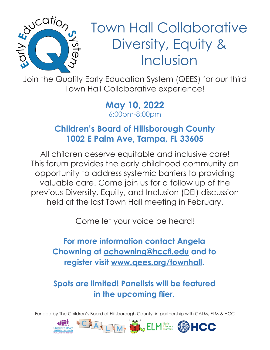

Town Hall Collaborative Diversity, Equity & Inclusion

Join the Quality Early Education System (QEES) for our third Town Hall Collaborative experience!

> **May 10, 2022** 6:00pm-8:00pm

## **Children's Board of Hillsborough County 1002 E Palm Ave, Tampa, FL 33605**

All children deserve equitable and inclusive care! This forum provides the early childhood community an opportunity to address systemic barriers to providing valuable care. Come join us for a follow up of the previous Diversity, Equity, and Inclusion (DEI) discussion held at the last Town Hall meeting in February.

Come let your voice be heard!

**For more information contact Angela Chowning at achowning@hccfl.edu and to register visit www.qees.org/townhall.**

**Spots are limited! Panelists will be featured in the upcoming flier.**

Funded by The Children's Board of Hillsborough County, in partnership with CALM, ELM & HCC